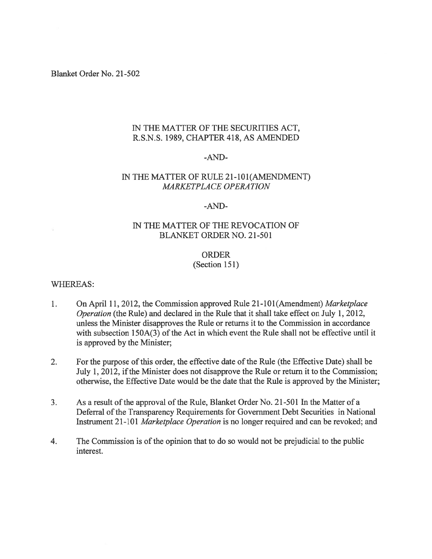Blanket Order No. 21-502

## IN THE MATTER OF THE SECURITIES ACT, R.S.N.S. 1989, CHAPTER 418, AS AMENDED

#### -AND

## IN THE MATTER OF RULE 21-101(AMENDMENT) MARKETPLACE OPERATION

#### -AND

## IN THE MATTER OF THE REVOCATION OF BLANKET ORDER NO. 21-501

# ORDER

(Section 151)

### WHEREAS:

- On April 11, 2012, the Commission approved Rule 21-101 (Amendment) Marketplace 1. Operation (the Rule) and declared in the Rule that it shall take effect on July 1, 2012, unless the Minister disapproves the Rule or returns it to the Commission in accordance with subsection  $150A(3)$  of the Act in which event the Rule shall not be effective until it is approved by the Minister;
- 2. For the purpose of this order, the effective date of the Rule (the Effective Date) shall be July 1, 2012, if the Minister does not disapprove the Rule or return it to the Commission; otherwise, the Effective Date would be the date that the Rule is approved by the Minister;
- 3. As a result of the approval of the Rule, Blanket Order No. 21-501 In the Matter of a Deferral of the Transparency Requirements for Government Debt Securities in National Instrument 21-101 Marketplace Operation is no longer required and can be revoked; and
- 4. The Commission is of the opinion that to do so would not be prejudicial to the public interest.